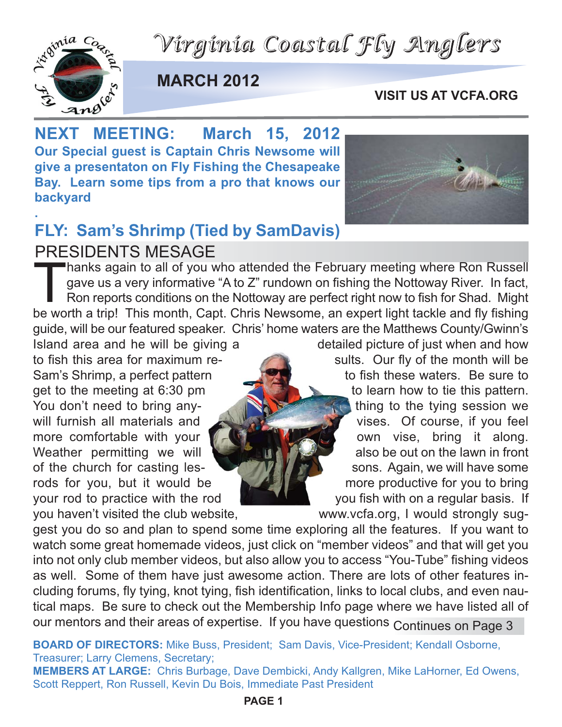*Virginia Coastal Fly Anglers*



**MARCH 2012**

#### **VISIT US AT VCFA.ORG**

**NEXT MEETING: March 15, 2012 Our Special guest is Captain Chris Newsome will give a presentaton on Fly Fishing the Chesapeake Bay. Learn some tips from a pro that knows our backyard**

#### **. FLY: Sam's Shrimp (Tied by SamDavis)** PRESIDENTS MESAGE

Thanks again to all of you who attended the February meeting where Ron Russell gave us a very informative "A to Z" rundown on fishing the Nottoway River. In fact, Ron reports conditions on the Nottoway are perfect right now to fish for Shad. Might be worth a trip! This month, Capt. Chris Newsome, an expert light tackle and fly fishing guide, will be our featured speaker. Chris' home waters are the Matthews County/Gwinn's

Island area and he will be giving a detailed picture of just when and how to fish this area for maximum re-<br>sults. Our fly of the month will be Sam's Shrimp, a perfect pattern to the state of fish these waters. Be sure to get to the meeting at 6:30 pm to learn how to tie this pattern. You don't need to bring anywill furnish all materials and **vises** vises. Of course, if you feel more comfortable with your own vise, bring it along. Weather permitting we will  $\blacksquare$  also be out on the lawn in front of the church for casting lesrods for you, but it would be more productive for you to bring your rod to practice with the rod **With the state of the state of the view of the root of the view of the view** you haven't visited the club website, www.vcfa.org, I would strongly sug-

gest you do so and plan to spend some time exploring all the features. If you want to watch some great homemade videos, just click on "member videos" and that will get you into not only club member videos, but also allow you to access "You-Tube" fishing videos as well. Some of them have just awesome action. There are lots of other features including forums, fly tying, knot tying, fish identification, links to local clubs, and even nautical maps. Be sure to check out the Membership Info page where we have listed all of our mentors and their areas of expertise. If you have questions Continues on Page 3

**BOARD OF DIRECTORS:** Mike Buss, President; Sam Davis, Vice-President; Kendall Osborne, Treasurer; Larry Clemens, Secretary;

**MEMBERS AT LARGE:** Chris Burbage, Dave Dembicki, Andy Kallgren, Mike LaHorner, Ed Owens, Scott Reppert, Ron Russell, Kevin Du Bois, Immediate Past President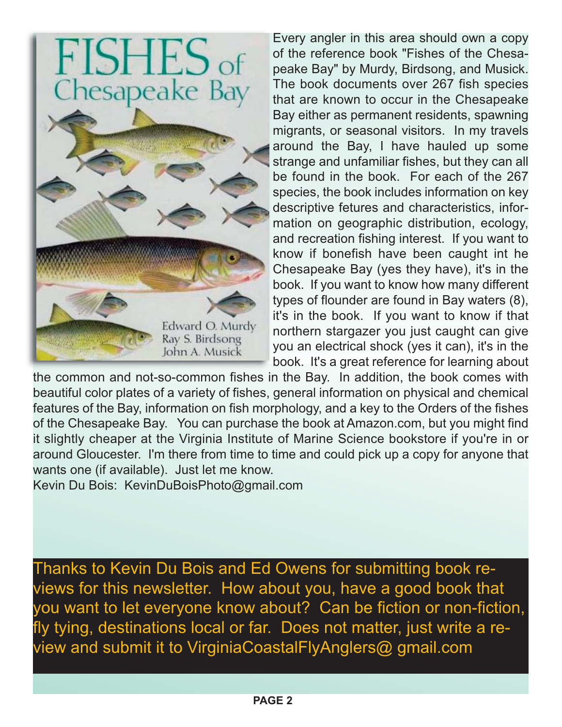



Every angler in this area should own a copy of the reference book "Fishes of the Chesapeake Bay" by Murdy, Birdsong, and Musick. The book documents over 267 fish species that are known to occur in the Chesapeake Bay either as permanent residents, spawning migrants, or seasonal visitors. In my travels around the Bay, I have hauled up some strange and unfamiliar fishes, but they can all be found in the book. For each of the 267 species, the book includes information on key descriptive fetures and characteristics, information on geographic distribution, ecology, and recreation fishing interest. If you want to know if bonefish have been caught int he Chesapeake Bay (yes they have), it's in the book. If you want to know how many different types of flounder are found in Bay waters (8), it's in the book. If you want to know if that northern stargazer you just caught can give you an electrical shock (yes it can), it's in the book. It's a great reference for learning about

the common and not-so-common fishes in the Bay. In addition, the book comes with beautiful color plates of a variety of fishes, general information on physical and chemical features of the Bay, information on fish morphology, and a key to the Orders of the fishes of the Chesapeake Bay. You can purchase the book at Amazon.com, but you might find it slightly cheaper at the Virginia Institute of Marine Science bookstore if you're in or around Gloucester. I'm there from time to time and could pick up a copy for anyone that wants one (if available). Just let me know.

Kevin Du Bois: KevinDuBoisPhoto@gmail.com

Thanks to Kevin Du Bois and Ed Owens for submitting book reviews for this newsletter. How about you, have a good book that you want to let everyone know about? Can be fiction or non-fiction, fly tying, destinations local or far. Does not matter, just write a review and submit it to VirginiaCoastalFlyAnglers@ gmail.com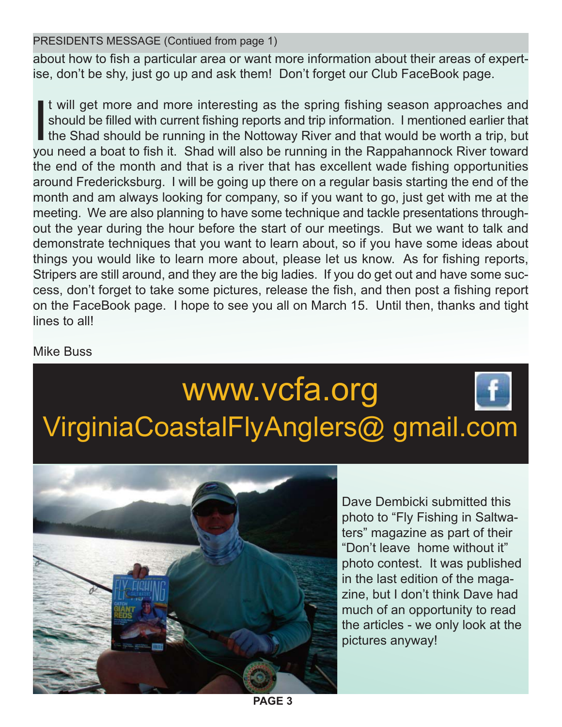PRESIDENTS MESSAGE (Contiued from page 1)

about how to fish a particular area or want more information about their areas of expertise, don't be shy, just go up and ask them! Don't forget our Club FaceBook page.

<u>I</u> t will get more and more interesting as the spring fishing season approaches and should be filled with current fishing reports and trip information. I mentioned earlier that the Shad should be running in the Nottoway River and that would be worth a trip, but you need a boat to fish it. Shad will also be running in the Rappahannock River toward the end of the month and that is a river that has excellent wade fishing opportunities around Fredericksburg. I will be going up there on a regular basis starting the end of the month and am always looking for company, so if you want to go, just get with me at the meeting. We are also planning to have some technique and tackle presentations throughout the year during the hour before the start of our meetings. But we want to talk and demonstrate techniques that you want to learn about, so if you have some ideas about things you would like to learn more about, please let us know. As for fishing reports, Stripers are still around, and they are the big ladies. If you do get out and have some success, don't forget to take some pictures, release the fish, and then post a fishing report on the FaceBook page. I hope to see you all on March 15. Until then, thanks and tight lines to all!

Mike Buss

# www.vcfa.org VirginiaCoastalFlyAnglers@ gmail.com



Dave Dembicki submitted this photo to "Fly Fishing in Saltwaters" magazine as part of their "Don't leave home without it" photo contest. It was published in the last edition of the magazine, but I don't think Dave had much of an opportunity to read the articles - we only look at the pictures anyway!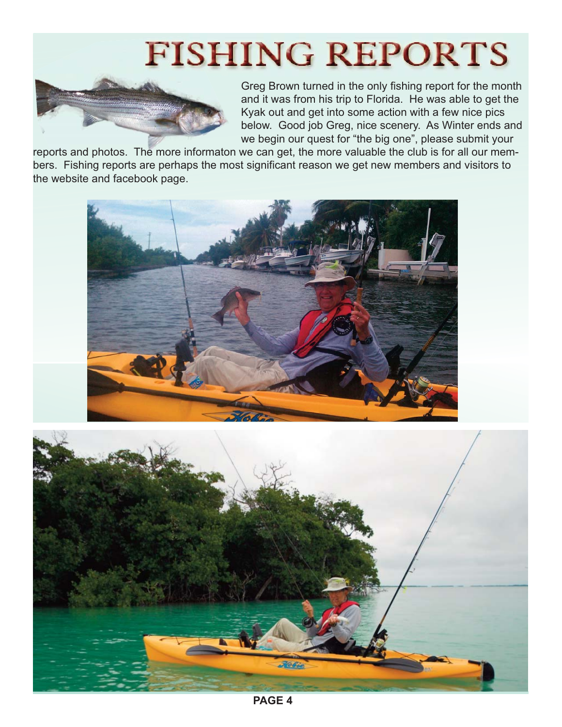# **FISHING REPORTS**



Greg Brown turned in the only fishing report for the month and it was from his trip to Florida. He was able to get the Kyak out and get into some action with a few nice pics below. Good job Greg, nice scenery. As Winter ends and we begin our quest for "the big one", please submit your

reports and photos. The more informaton we can get, the more valuable the club is for all our members. Fishing reports are perhaps the most significant reason we get new members and visitors to the website and facebook page.





**PAGE 4**